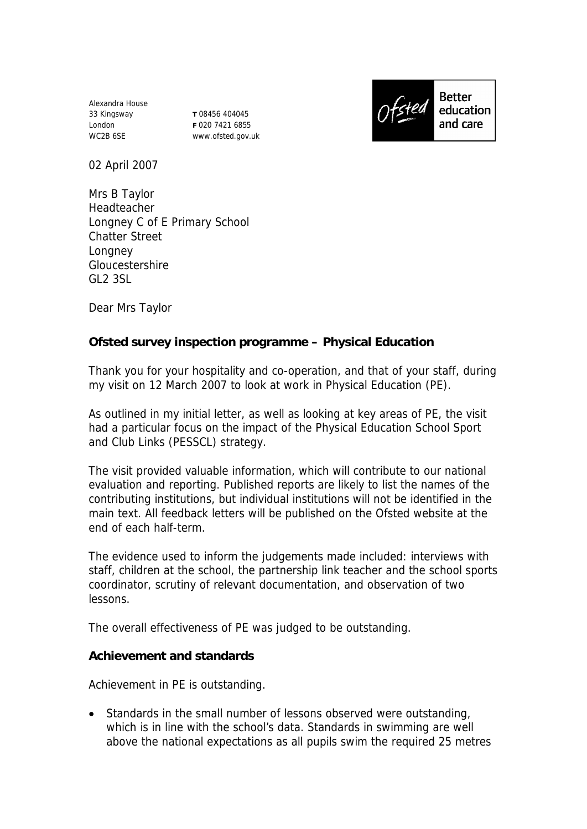Alexandra House 33 Kingsway London WC2B 6SE

**T** 08456 404045 **F** 020 7421 6855 www.ofsted.gov.uk



02 April 2007

Mrs B Taylor Headteacher Longney C of E Primary School Chatter Street Longney Gloucestershire GL2 3SL

Dear Mrs Taylor

**Ofsted survey inspection programme – Physical Education** 

Thank you for your hospitality and co-operation, and that of your staff, during my visit on 12 March 2007 to look at work in Physical Education (PE).

As outlined in my initial letter, as well as looking at key areas of PE, the visit had a particular focus on the impact of the Physical Education School Sport and Club Links (PESSCL) strategy.

The visit provided valuable information, which will contribute to our national evaluation and reporting. Published reports are likely to list the names of the contributing institutions, but individual institutions will not be identified in the main text. All feedback letters will be published on the Ofsted website at the end of each half-term.

The evidence used to inform the judgements made included: interviews with staff, children at the school, the partnership link teacher and the school sports coordinator, scrutiny of relevant documentation, and observation of two lessons.

The overall effectiveness of PE was judged to be outstanding.

**Achievement and standards** 

Achievement in PE is outstanding.

• Standards in the small number of lessons observed were outstanding, which is in line with the school's data. Standards in swimming are well above the national expectations as all pupils swim the required 25 metres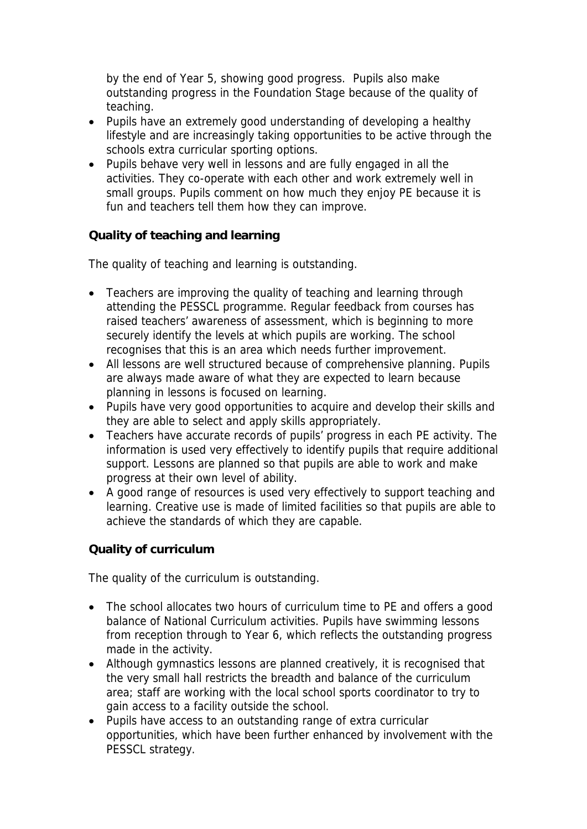by the end of Year 5, showing good progress. Pupils also make outstanding progress in the Foundation Stage because of the quality of teaching.

- Pupils have an extremely good understanding of developing a healthy lifestyle and are increasingly taking opportunities to be active through the schools extra curricular sporting options.
- Pupils behave very well in lessons and are fully engaged in all the activities. They co-operate with each other and work extremely well in small groups. Pupils comment on how much they enjoy PE because it is fun and teachers tell them how they can improve.

**Quality of teaching and learning**

The quality of teaching and learning is outstanding.

- Teachers are improving the quality of teaching and learning through attending the PESSCL programme. Regular feedback from courses has raised teachers' awareness of assessment, which is beginning to more securely identify the levels at which pupils are working. The school recognises that this is an area which needs further improvement.
- All lessons are well structured because of comprehensive planning. Pupils are always made aware of what they are expected to learn because planning in lessons is focused on learning.
- Pupils have very good opportunities to acquire and develop their skills and they are able to select and apply skills appropriately.
- Teachers have accurate records of pupils' progress in each PE activity. The information is used very effectively to identify pupils that require additional support. Lessons are planned so that pupils are able to work and make progress at their own level of ability.
- A good range of resources is used very effectively to support teaching and learning. Creative use is made of limited facilities so that pupils are able to achieve the standards of which they are capable.

**Quality of curriculum** 

The quality of the curriculum is outstanding.

- The school allocates two hours of curriculum time to PE and offers a good balance of National Curriculum activities. Pupils have swimming lessons from reception through to Year 6, which reflects the outstanding progress made in the activity.
- Although gymnastics lessons are planned creatively, it is recognised that the very small hall restricts the breadth and balance of the curriculum area; staff are working with the local school sports coordinator to try to gain access to a facility outside the school.
- Pupils have access to an outstanding range of extra curricular opportunities, which have been further enhanced by involvement with the PESSCL strategy.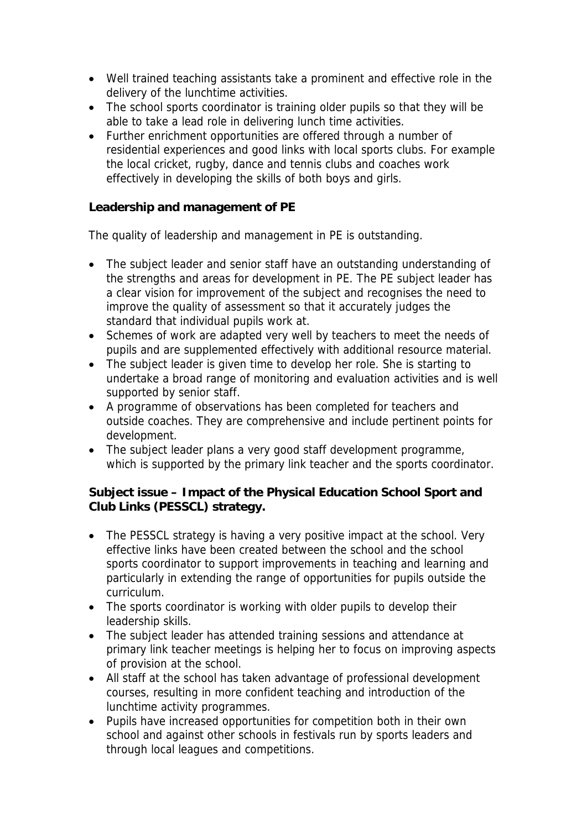- Well trained teaching assistants take a prominent and effective role in the delivery of the lunchtime activities.
- The school sports coordinator is training older pupils so that they will be able to take a lead role in delivering lunch time activities.
- Further enrichment opportunities are offered through a number of residential experiences and good links with local sports clubs. For example the local cricket, rugby, dance and tennis clubs and coaches work effectively in developing the skills of both boys and girls.

**Leadership and management of PE**

The quality of leadership and management in PE is outstanding.

- The subject leader and senior staff have an outstanding understanding of the strengths and areas for development in PE. The PE subject leader has a clear vision for improvement of the subject and recognises the need to improve the quality of assessment so that it accurately judges the standard that individual pupils work at.
- Schemes of work are adapted very well by teachers to meet the needs of pupils and are supplemented effectively with additional resource material.
- The subject leader is given time to develop her role. She is starting to undertake a broad range of monitoring and evaluation activities and is well supported by senior staff.
- A programme of observations has been completed for teachers and outside coaches. They are comprehensive and include pertinent points for development.
- The subject leader plans a very good staff development programme, which is supported by the primary link teacher and the sports coordinator.

**Subject issue – Impact of the Physical Education School Sport and Club Links (PESSCL) strategy.**

- The PESSCL strategy is having a very positive impact at the school. Very effective links have been created between the school and the school sports coordinator to support improvements in teaching and learning and particularly in extending the range of opportunities for pupils outside the curriculum.
- The sports coordinator is working with older pupils to develop their leadership skills.
- The subject leader has attended training sessions and attendance at primary link teacher meetings is helping her to focus on improving aspects of provision at the school.
- All staff at the school has taken advantage of professional development courses, resulting in more confident teaching and introduction of the lunchtime activity programmes.
- Pupils have increased opportunities for competition both in their own school and against other schools in festivals run by sports leaders and through local leagues and competitions.